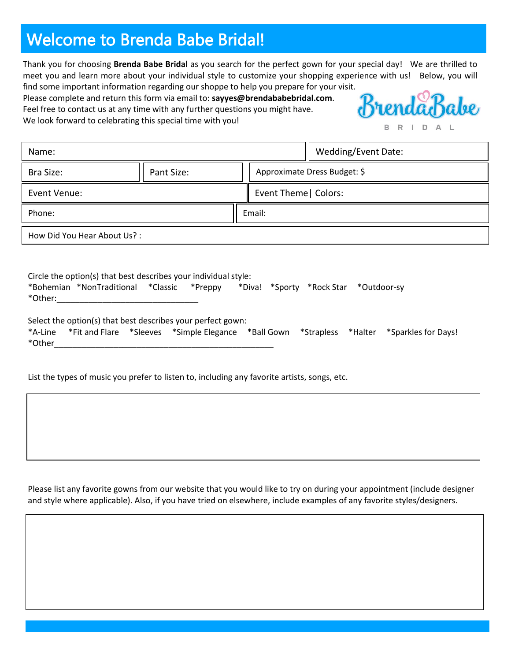# Welcome to Brenda Babe Bridal!

Thank you for choosing **Brenda Babe Bridal** as you search for the perfect gown for your special day! We are thrilled to meet you and learn more about your individual style to customize your shopping experience with us! Below, you will find some important information regarding our shoppe to help you prepare for your visit.

Please complete and return this form via email to: **sayyes@brendababebridal.com**. Feel free to contact us at any time with any further questions you might have. We look forward to celebrating this special time with you!



| Name:                       |            |  | Wedding/Event Date:          |  |  |  |
|-----------------------------|------------|--|------------------------------|--|--|--|
| Bra Size:                   | Pant Size: |  | Approximate Dress Budget: \$ |  |  |  |
| Event Venue:                |            |  | Event Theme   Colors:        |  |  |  |
| Phone:                      |            |  | Email:                       |  |  |  |
| How Did You Hear About Us?: |            |  |                              |  |  |  |

| Circle the option(s) that best describes your individual style: |                                            |  |  |  |  |  |                                       |  |
|-----------------------------------------------------------------|--------------------------------------------|--|--|--|--|--|---------------------------------------|--|
|                                                                 | *Bohemian *NonTraditional *Classic *Preppy |  |  |  |  |  | *Diva! *Sporty *Rock Star *Outdoor-sy |  |
| *Other:                                                         |                                            |  |  |  |  |  |                                       |  |

| Select the option(s) that best describes your perfect gown: |  |  |  |  |  |  |                                                                                                    |  |  |
|-------------------------------------------------------------|--|--|--|--|--|--|----------------------------------------------------------------------------------------------------|--|--|
|                                                             |  |  |  |  |  |  | *A-Line *Fit and Flare *Sleeves *Simple Elegance *Ball Gown *Strapless *Halter *Sparkles for Days! |  |  |
| *Other                                                      |  |  |  |  |  |  |                                                                                                    |  |  |

List the types of music you prefer to listen to, including any favorite artists, songs, etc.

Please list any favorite gowns from our website that you would like to try on during your appointment (include designer and style where applicable). Also, if you have tried on elsewhere, include examples of any favorite styles/designers.